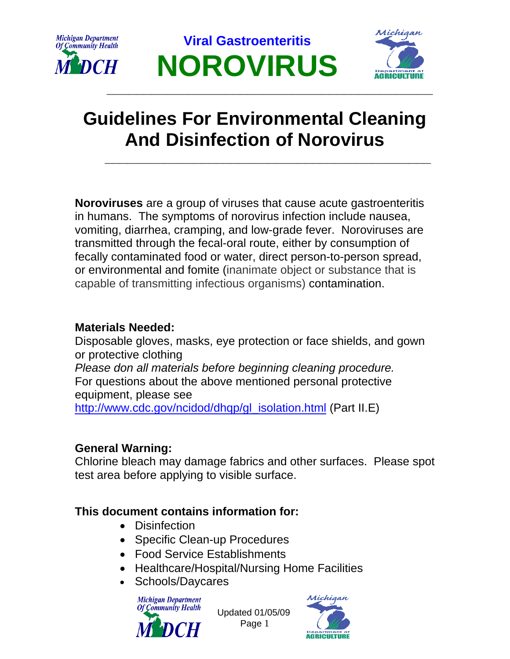





# **Guidelines For Environmental Cleaning And Disinfection of Norovirus**

**Noroviruses** are a group of viruses that cause acute gastroenteritis in humans. The symptoms of norovirus infection include nausea, vomiting, diarrhea, cramping, and low-grade fever. Noroviruses are transmitted through the fecal-oral route, either by consumption of fecally contaminated food or water, direct person-to-person spread, or environmental and fomite (inanimate object or substance that is capable of transmitting infectious organisms) contamination.

### **Materials Needed:**

Disposable gloves, masks, eye protection or face shields, and gown or protective clothing *Please don all materials before beginning cleaning procedure.*  For questions about the above mentioned personal protective equipment, please see [http://www.cdc.gov/ncidod/dhqp/gl\\_isolation.html](http://www.cdc.gov/ncidod/dhqp/gl_isolation.html) (Part II.E)

### **General Warning:**

Chlorine bleach may damage fabrics and other surfaces. Please spot test area before applying to visible surface.

### **This document contains information for:**

- Disinfection
- Specific Clean-up Procedures
- Food Service Establishments
- Healthcare/Hospital/Nursing Home Facilities
- Schools/Daycares



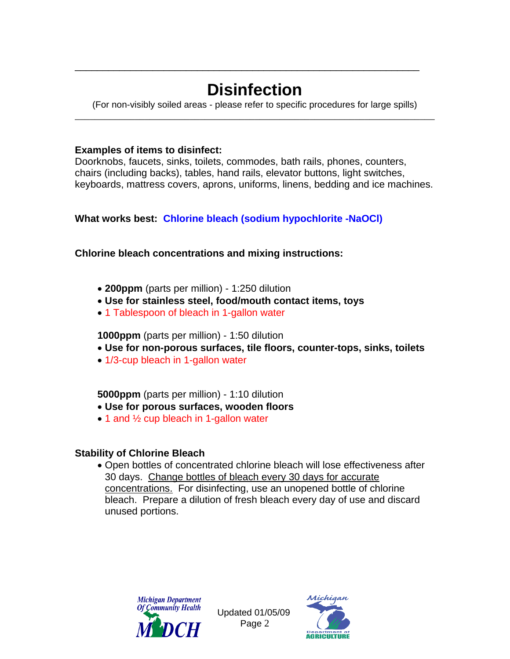# **Disinfection**

\_\_\_\_\_\_\_\_\_\_\_\_\_\_\_\_\_\_\_\_\_\_\_\_\_\_\_\_\_\_\_\_\_\_\_\_\_\_\_\_\_\_\_\_\_\_\_\_\_\_\_\_\_\_\_\_\_\_\_\_\_\_

(For non-visibly soiled areas - please refer to specific procedures for large spills) \_\_\_\_\_\_\_\_\_\_\_\_\_\_\_\_\_\_\_\_\_\_\_\_\_\_\_\_\_\_\_\_\_\_\_\_\_\_\_\_\_\_\_\_\_\_\_\_\_\_\_\_\_\_\_\_\_\_\_\_\_\_\_\_\_\_\_\_\_\_\_\_

#### **Examples of items to disinfect:**

Doorknobs, faucets, sinks, toilets, commodes, bath rails, phones, counters, chairs (including backs), tables, hand rails, elevator buttons, light switches, keyboards, mattress covers, aprons, uniforms, linens, bedding and ice machines.

#### **What works best: Chlorine bleach (sodium hypochlorite -NaOCl)**

#### **Chlorine bleach concentrations and mixing instructions:**

- **200ppm** (parts per million) 1:250 dilution
- **Use for stainless steel, food/mouth contact items, toys**
- 1 Tablespoon of bleach in 1-gallon water

**1000ppm** (parts per million) - 1:50 dilution

- **Use for non-porous surfaces, tile floors, counter-tops, sinks, toilets**
- 1/3-cup bleach in 1-gallon water

#### **5000ppm** (parts per million) - 1:10 dilution

- **Use for porous surfaces, wooden floors**
- 1 and 1/2 cup bleach in 1-gallon water

#### **Stability of Chlorine Bleach**

• Open bottles of concentrated chlorine bleach will lose effectiveness after 30 days. Change bottles of bleach every 30 days for accurate concentrations. For disinfecting, use an unopened bottle of chlorine bleach. Prepare a dilution of fresh bleach every day of use and discard unused portions.



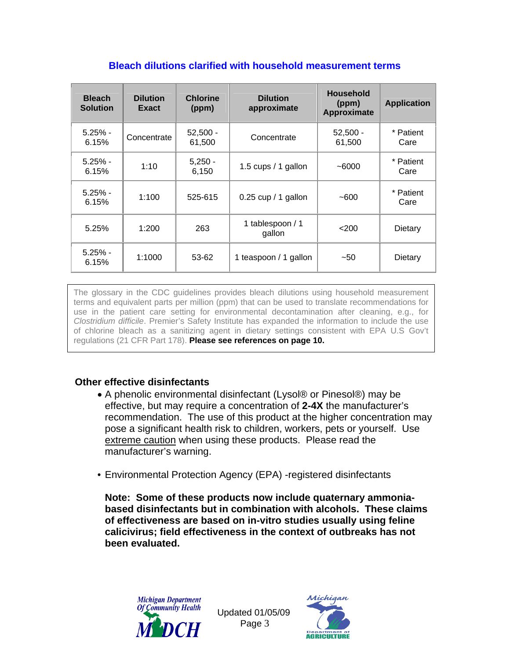| <b>Bleach</b><br><b>Solution</b> | <b>Dilution</b><br>Exact | <b>Chlorine</b><br>(ppm) | <b>Dilution</b><br>approximate | <b>Household</b><br>(ppm)<br>Approximate | <b>Application</b> |
|----------------------------------|--------------------------|--------------------------|--------------------------------|------------------------------------------|--------------------|
| $5.25%$ -<br>6.15%               | Concentrate              | $52,500 -$<br>61,500     | Concentrate                    | $52,500 -$<br>61,500                     | * Patient<br>Care  |
| $5.25% -$<br>6.15%               | 1:10                     | $5,250 -$<br>6,150       | 1.5 cups / 1 gallon            | $-6000$                                  | * Patient<br>Care  |
| $5.25% -$<br>6.15%               | 1:100                    | 525-615                  | $0.25$ cup / 1 gallon          | $-600$                                   | * Patient<br>Care  |
| 5.25%                            | 1:200                    | 263                      | 1 tablespoon / 1<br>gallon     | $<$ 200                                  | Dietary            |
| $5.25% -$<br>6.15%               | 1:1000                   | 53-62                    | 1 teaspoon / 1 gallon          | $-50$                                    | Dietary            |

#### **Bleach dilutions clarified with household measurement terms**

The glossary in the CDC guidelines provides bleach dilutions using household measurement terms and equivalent parts per million (ppm) that can be used to translate recommendations for use in the patient care setting for environmental decontamination after cleaning, e.g., for *[Clostridium difficile](http://lyris.premierinc.com/t/178262/140632/5193/0/?u=aHR0cDovL3d3dy5wcmVtaWVyaW5jLmNvbS9xdWFsaXR5LXNhZmV0eS90b29scy1zZXJ2aWNlcy9zYWZldHkvdG9waWNzL2NkYWQvY2xlYW5pbmcuanNw&x=2f6267b6)*. Premier's Safety Institute has expanded the information to include the use of chlorine bleach as a sanitizing agent in dietary settings consistent with EPA U.S Gov't regulations (21 CFR Part 178). **Please see references on page 10.**

#### **Other effective disinfectants**

- A phenolic environmental disinfectant (Lysol® or Pinesol®) may be effective, but may require a concentration of **2-4X** the manufacturer's recommendation. The use of this product at the higher concentration may pose a significant health risk to children, workers, pets or yourself. Use extreme caution when using these products. Please read the manufacturer's warning.
- Environmental Protection Agency (EPA) -registered disinfectants

**Note: Some of these products now include quaternary ammoniabased disinfectants but in combination with alcohols. These claims of effectiveness are based on in-vitro studies usually using feline calicivirus; field effectiveness in the context of outbreaks has not been evaluated.** 



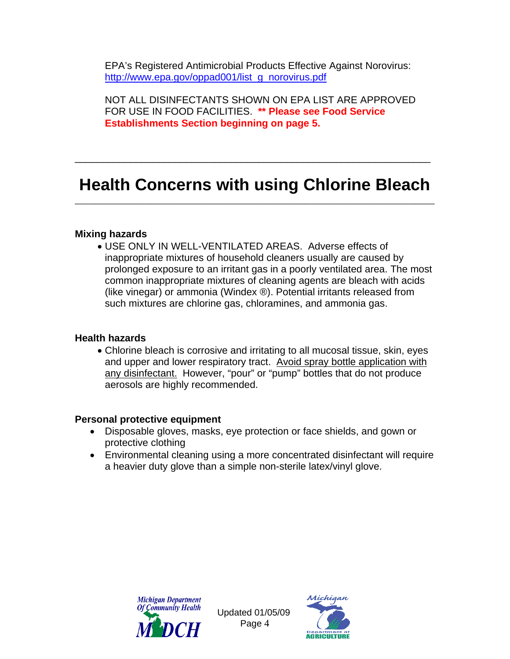EPA's Registered Antimicrobial Products Effective Against Norovirus: [http://www.epa.gov/oppad001/list\\_g\\_norovirus.pdf](http://www.epa.gov/oppad001/list_g_norovirus.pdf)

NOT ALL DISINFECTANTS SHOWN ON EPA LIST ARE APPROVED FOR USE IN FOOD FACILITIES. **\*\* Please see Food Service Establishments Section beginning on page 5.**

### **Health Concerns with using Chlorine Bleach**  \_\_\_\_\_\_\_\_\_\_\_\_\_\_\_\_\_\_\_\_\_\_\_\_\_\_\_\_\_\_\_\_\_\_\_\_\_\_\_\_\_\_\_\_\_\_\_\_\_\_\_\_\_\_\_\_\_\_\_\_\_\_\_\_\_\_\_\_\_\_\_\_

\_\_\_\_\_\_\_\_\_\_\_\_\_\_\_\_\_\_\_\_\_\_\_\_\_\_\_\_\_\_\_\_\_\_\_\_\_\_\_\_\_\_\_\_\_\_\_\_\_\_\_\_\_\_\_\_\_\_\_\_\_\_\_\_

#### **Mixing hazards**

• USE ONLY IN WELL-VENTILATED AREAS. Adverse effects of inappropriate mixtures of household cleaners usually are caused by prolonged exposure to an irritant gas in a poorly ventilated area. The most common inappropriate mixtures of cleaning agents are bleach with acids (like vinegar) or ammonia (Windex ®). Potential irritants released from such mixtures are chlorine gas, chloramines, and ammonia gas.

#### **Health hazards**

• Chlorine bleach is corrosive and irritating to all mucosal tissue, skin, eyes and upper and lower respiratory tract. Avoid spray bottle application with any disinfectant. However, "pour" or "pump" bottles that do not produce aerosols are highly recommended.

#### **Personal protective equipment**

- Disposable gloves, masks, eye protection or face shields, and gown or protective clothing
- Environmental cleaning using a more concentrated disinfectant will require a heavier duty glove than a simple non-sterile latex/vinyl glove.



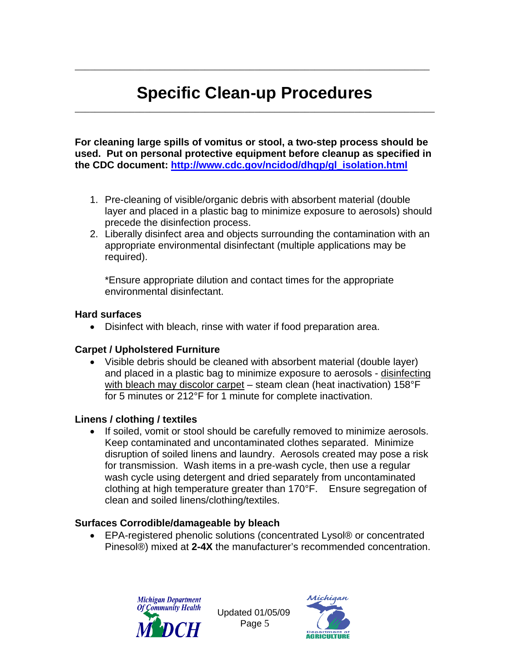## **Specific Clean-up Procedures** \_\_\_\_\_\_\_\_\_\_\_\_\_\_\_\_\_\_\_\_\_\_\_\_\_\_\_\_\_\_\_\_\_\_\_\_\_\_\_\_\_\_\_\_\_\_\_\_\_\_\_\_\_\_\_\_\_\_\_\_\_\_\_\_\_\_\_\_\_\_\_\_

\_\_\_\_\_\_\_\_\_\_\_\_\_\_\_\_\_\_\_\_\_\_\_\_\_\_\_\_\_\_\_\_\_\_\_\_\_\_\_\_\_\_\_\_\_\_\_\_\_\_\_\_\_\_\_\_\_\_\_\_\_\_\_\_\_\_\_\_\_\_\_

**For cleaning large spills of vomitus or stool, a two-step process should be used. Put on personal protective equipment before cleanup as specified in the CDC document: [http://www.cdc.gov/ncidod/dhqp/gl\\_isolation.html](http://www.cdc.gov/ncidod/dhqp/gl_isolation.html)**

- 1. Pre-cleaning of visible/organic debris with absorbent material (double layer and placed in a plastic bag to minimize exposure to aerosols) should precede the disinfection process.
- 2. Liberally disinfect area and objects surrounding the contamination with an appropriate environmental disinfectant (multiple applications may be required).

\*Ensure appropriate dilution and contact times for the appropriate environmental disinfectant.

#### **Hard surfaces**

• Disinfect with bleach, rinse with water if food preparation area.

#### **Carpet / Upholstered Furniture**

• Visible debris should be cleaned with absorbent material (double layer) and placed in a plastic bag to minimize exposure to aerosols - disinfecting with bleach may discolor carpet – steam clean (heat inactivation) 158°F for 5 minutes or 212°F for 1 minute for complete inactivation.

#### **Linens / clothing / textiles**

• If soiled, vomit or stool should be carefully removed to minimize aerosols. Keep contaminated and uncontaminated clothes separated. Minimize disruption of soiled linens and laundry. Aerosols created may pose a risk for transmission. Wash items in a pre-wash cycle, then use a regular wash cycle using detergent and dried separately from uncontaminated clothing at high temperature greater than 170°F. Ensure segregation of clean and soiled linens/clothing/textiles.

#### **Surfaces Corrodible/damageable by bleach**

• EPA-registered phenolic solutions (concentrated Lysol® or concentrated Pinesol®) mixed at **2-4X** the manufacturer's recommended concentration.



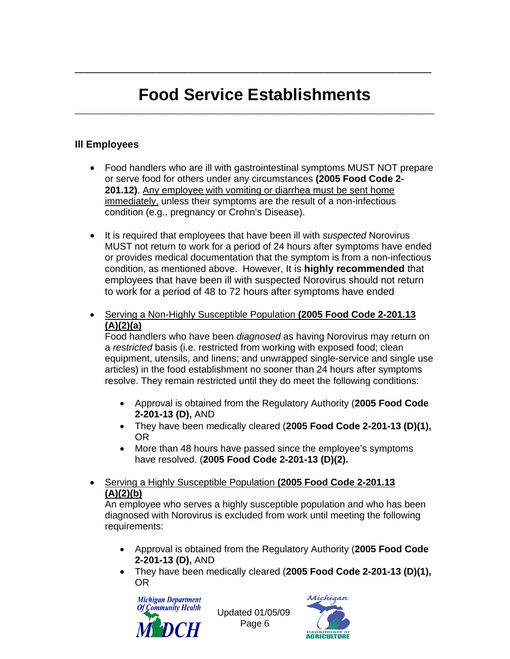## **Food Service Establishments** \_\_\_\_\_\_\_\_\_\_\_\_\_\_\_\_\_\_\_\_\_\_\_\_\_\_\_\_\_\_\_\_\_\_\_\_\_\_\_\_\_\_\_\_\_\_\_\_\_\_\_\_\_\_\_\_\_\_\_\_\_\_\_\_\_\_\_\_\_\_\_\_

\_\_\_\_\_\_\_\_\_\_\_\_\_\_\_\_\_\_\_\_\_\_\_\_\_\_\_\_\_\_\_\_\_\_\_\_\_\_\_\_\_\_\_\_\_\_\_\_\_\_\_\_\_\_\_

#### **Ill Employees**

- Food handlers who are ill with gastrointestinal symptoms MUST NOT prepare or serve food for others under any circumstances **(2005 Food Code 2- 201.12)**. Any employee with vomiting or diarrhea must be sent home immediately, unless their symptoms are the result of a non-infectious condition (e.g., pregnancy or Crohn's Disease).
- It is required that employees that have been ill with *suspected* Norovirus MUST not return to work for a period of 24 hours after symptoms have ended or provides medical documentation that the symptom is from a non-infectious condition, as mentioned above. However, It is **highly recommended** that employees that have been ill with suspected Norovirus should not return to work for a period of 48 to 72 hours after symptoms have ended
- Serving a Non-Highly Susceptible Population **(2005 Food Code 2-201.13 (A)(2)(a)**

Food handlers who have been *diagnosed* as having Norovirus may return on a *restricted* basis (i.e. restricted from working with exposed food; clean equipment, utensils, and linens; and unwrapped single-service and single use articles) in the food establishment no sooner than 24 hours after symptoms resolve. They remain restricted until they do meet the following conditions:

- Approval is obtained from the Regulatory Authority (**2005 Food Code 2-201-13 (D),** AND
- They have been medically cleared (**2005 Food Code 2-201-13 (D)(1),** OR
- More than 48 hours have passed since the employee's symptoms have resolved. (**2005 Food Code 2-201-13 (D)(2).**
- Serving a Highly Susceptible Population **(2005 Food Code 2-201.13 (A)(2)(b)**

An employee who serves a highly susceptible population and who has been diagnosed with Norovirus is excluded from work until meeting the following requirements:

- Approval is obtained from the Regulatory Authority (**2005 Food Code 2-201-13 (D),** AND
- They have been medically cleared (**2005 Food Code 2-201-13 (D)(1),** OR



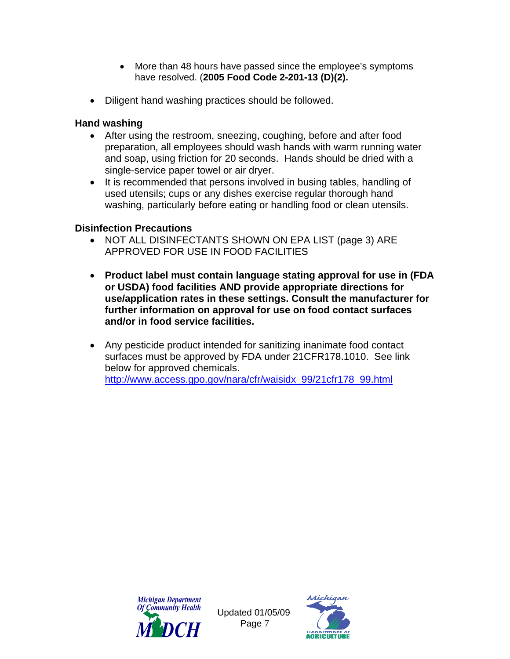- More than 48 hours have passed since the employee's symptoms have resolved. (**2005 Food Code 2-201-13 (D)(2).**
- Diligent hand washing practices should be followed.

#### **Hand washing**

- After using the restroom, sneezing, coughing, before and after food preparation, all employees should wash hands with warm running water and soap, using friction for 20 seconds. Hands should be dried with a single-service paper towel or air dryer.
- It is recommended that persons involved in busing tables, handling of used utensils; cups or any dishes exercise regular thorough hand washing, particularly before eating or handling food or clean utensils.

#### **Disinfection Precautions**

- NOT ALL DISINFECTANTS SHOWN ON EPA LIST (page 3) ARE APPROVED FOR USE IN FOOD FACILITIES
- **Product label must contain language stating approval for use in (FDA or USDA) food facilities AND provide appropriate directions for use/application rates in these settings. Consult the manufacturer for further information on approval for use on food contact surfaces and/or in food service facilities.**
- Any pesticide product intended for sanitizing inanimate food contact surfaces must be approved by FDA under 21CFR178.1010. See link below for approved chemicals. [http://www.access.gpo.gov/nara/cfr/waisidx\\_99/21cfr178\\_99.html](http://www.access.gpo.gov/nara/cfr/waisidx_99/21cfr178_99.html)



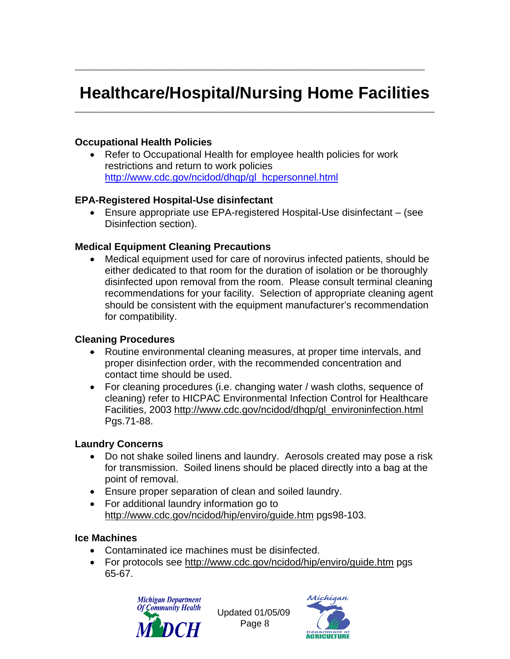## **Healthcare/Hospital/Nursing Home Facilities**  \_\_\_\_\_\_\_\_\_\_\_\_\_\_\_\_\_\_\_\_\_\_\_\_\_\_\_\_\_\_\_\_\_\_\_\_\_\_\_\_\_\_\_\_\_\_\_\_\_\_\_\_\_\_\_\_\_\_\_\_\_\_\_\_\_\_\_\_\_\_\_\_

\_\_\_\_\_\_\_\_\_\_\_\_\_\_\_\_\_\_\_\_\_\_\_\_\_\_\_\_\_\_\_\_\_\_\_\_\_\_\_\_\_\_\_\_\_\_\_\_\_\_\_\_\_\_\_\_\_\_\_\_\_\_\_\_\_\_\_\_\_\_

#### **Occupational Health Policies**

• Refer to Occupational Health for employee health policies for work restrictions and return to work policies [http://www.cdc.gov/ncidod/dhqp/gl\\_hcpersonnel.html](http://www.cdc.gov/ncidod/dhqp/gl_hcpersonnel.html)

#### **EPA-Registered Hospital-Use disinfectant**

• Ensure appropriate use EPA-registered Hospital-Use disinfectant – (see Disinfection section).

#### **Medical Equipment Cleaning Precautions**

• Medical equipment used for care of norovirus infected patients, should be either dedicated to that room for the duration of isolation or be thoroughly disinfected upon removal from the room. Please consult terminal cleaning recommendations for your facility. Selection of appropriate cleaning agent should be consistent with the equipment manufacturer's recommendation for compatibility.

#### **Cleaning Procedures**

- Routine environmental cleaning measures, at proper time intervals, and proper disinfection order, with the recommended concentration and contact time should be used.
- For cleaning procedures (i.e. changing water / wash cloths, sequence of cleaning) refer to HICPAC Environmental Infection Control for Healthcare Facilities, 2003 [http://www.cdc.gov/ncidod/dhqp/gl\\_environinfection.html](http://www.cdc.gov/ncidod/dhqp/gl_environinfection.html) Pgs.71-88.

#### **Laundry Concerns**

- Do not shake soiled linens and laundry. Aerosols created may pose a risk for transmission. Soiled linens should be placed directly into a bag at the point of removal.
- Ensure proper separation of clean and soiled laundry.
- For additional laundry information go to <http://www.cdc.gov/ncidod/hip/enviro/guide.htm>pgs98-103.

#### **Ice Machines**

- Contaminated ice machines must be disinfected.
- For protocols see<http://www.cdc.gov/ncidod/hip/enviro/guide.htm>pgs 65-67.



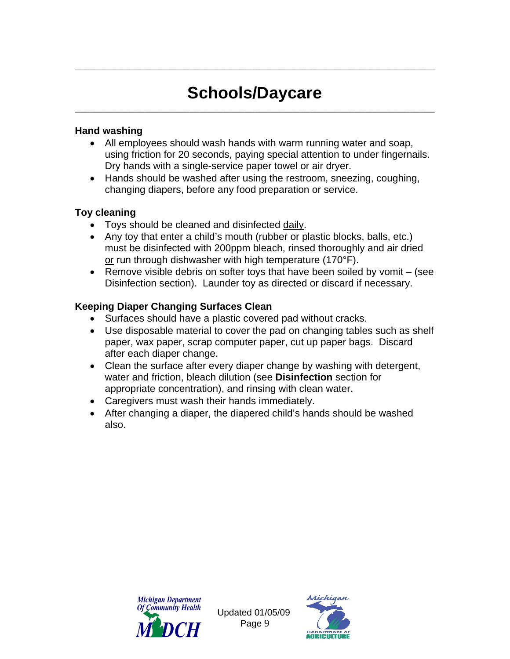## **Schools/Daycare** \_\_\_\_\_\_\_\_\_\_\_\_\_\_\_\_\_\_\_\_\_\_\_\_\_\_\_\_\_\_\_\_\_\_\_\_\_\_\_\_\_\_\_\_\_\_\_\_\_\_\_\_\_\_\_\_\_\_\_\_\_\_\_\_\_\_\_\_\_\_\_\_

\_\_\_\_\_\_\_\_\_\_\_\_\_\_\_\_\_\_\_\_\_\_\_\_\_\_\_\_\_\_\_\_\_\_\_\_\_\_\_\_\_\_\_\_\_\_\_\_\_\_\_\_\_\_\_\_\_\_\_\_\_\_\_\_\_\_\_\_\_\_\_\_

#### **Hand washing**

- All employees should wash hands with warm running water and soap, using friction for 20 seconds, paying special attention to under fingernails. Dry hands with a single-service paper towel or air dryer.
- Hands should be washed after using the restroom, sneezing, coughing, changing diapers, before any food preparation or service.

#### **Toy cleaning**

- Toys should be cleaned and disinfected daily.
- Any toy that enter a child's mouth (rubber or plastic blocks, balls, etc.) must be disinfected with 200ppm bleach, rinsed thoroughly and air dried or run through dishwasher with high temperature (170°F).
- Remove visible debris on softer toys that have been soiled by vomit (see Disinfection section). Launder toy as directed or discard if necessary.

#### **Keeping Diaper Changing Surfaces Clean**

- Surfaces should have a plastic covered pad without cracks.
- Use disposable material to cover the pad on changing tables such as shelf paper, wax paper, scrap computer paper, cut up paper bags. Discard after each diaper change.
- Clean the surface after every diaper change by washing with detergent, water and friction, bleach dilution (see **Disinfection** section for appropriate concentration), and rinsing with clean water.
- Caregivers must wash their hands immediately.
- After changing a diaper, the diapered child's hands should be washed also.



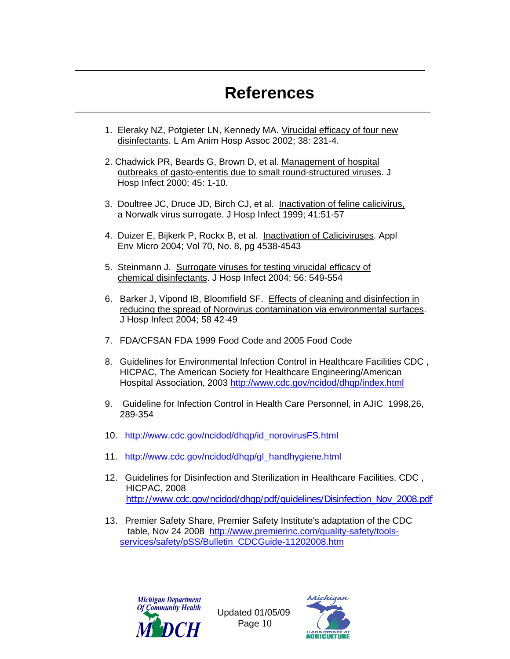# References

1. Eleraky NZ, Potgieter LN, Kennedy MA. Virucidal efficacy of four new disinfectants. L Am Anim Hosp Assoc 2002; 38: 231-4.

\_\_\_\_\_\_\_\_\_\_\_\_\_\_\_\_\_\_\_\_\_\_\_\_\_\_\_\_\_\_\_\_\_\_\_\_\_\_\_\_\_\_\_\_\_\_\_\_\_\_\_\_\_\_\_\_\_\_\_\_\_\_\_

- 2. Chadwick PR, Beards G, Brown D, et al. Management of hospital outbreaks of gasto-enteritis due to small round-structured viruses. J Hosp Infect 2000; 45: 1-10.
- 3. Doultree JC, Druce JD, Birch CJ, et al. Inactivation of feline calicivirus, a Norwalk virus surrogate. J Hosp Infect 1999; 41:51-57
- 4. Duizer E, Bijkerk P, Rockx B, et al. Inactivation of Caliciviruses. Appl Env Micro 2004; Vol 70, No. 8, pg 4538-4543
- 5. Steinmann J. Surrogate viruses for testing virucidal efficacy of chemical disinfectants. J Hosp Infect 2004; 56: 549-554
- 6. Barker J, Vipond IB, Bloomfield SF. Effects of cleaning and disinfection in reducing the spread of Norovirus contamination via environmental surfaces. J Hosp Infect 2004; 58 42-49
- 7. FDA/CFSAN FDA 1999 Food Code and 2005 Food Code
- 8. Guidelines for Environmental Infection Control in Healthcare Facilities CDC , HICPAC, The American Society for Healthcare Engineering/American Hospital Association, 2003 <http://www.cdc.gov/ncidod/dhqp/index.html>
- 9. Guideline for Infection Control in Health Care Personnel, in AJIC 1998,26, 289-354
- 10. [http://www.cdc.gov/ncidod/dhqp/id\\_norovirusFS.html](http://www.cdc.gov/ncidod/dhqp/id_norovirusFS.html)
- 11. [http://www.cdc.gov/ncidod/dhqp/gl\\_handhygiene.html](http://www.cdc.gov/ncidod/dhqp/gl_handhygiene.html)
- 12. Guidelines for Disinfection and Sterilization in Healthcare Facilities, CDC , HICPAC, 2008[http://www.cdc.gov/ncidod/dhqp/pdf/guidelines/Disinfection\\_Nov\\_2008.pdf](http://www.cdc.gov/ncidod/dhqp/pdf/guidelines/Disinfection_Nov_2008.pdf)
- 13. Premier Safety Share, Premier Safety Institute's adaptation of the CDC table, Nov 24 2008 [http://www.premierinc.com/quality-safety/tools](http://www.premierinc.com/quality-safety/tools-services/safety/pSS/Bulletin_CDCGuide-11202008.htm)[services/safety/pSS/Bulletin\\_CDCGuide-11202008.htm](http://www.premierinc.com/quality-safety/tools-services/safety/pSS/Bulletin_CDCGuide-11202008.htm)